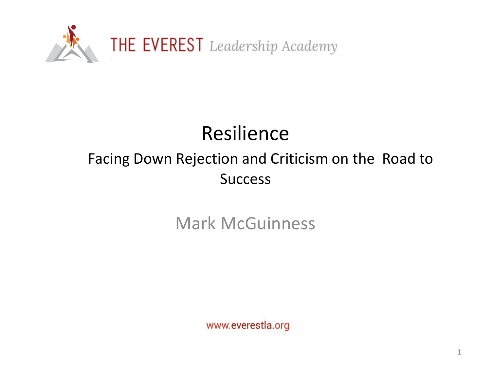

# Resilience

## Facing Down Rejection and Criticism on the Road to Success

Mark McGuinness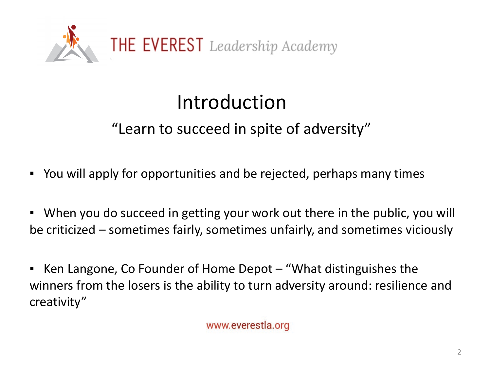

# Introduction

"Learn to succeed in spite of adversity"

- You will apply for opportunities and be rejected, perhaps many times
- When you do succeed in getting your work out there in the public, you will be criticized – sometimes fairly, sometimes unfairly, and sometimes viciously
- Ken Langone, Co Founder of Home Depot "What distinguishes the winners from the losers is the ability to turn adversity around: resilience and creativity"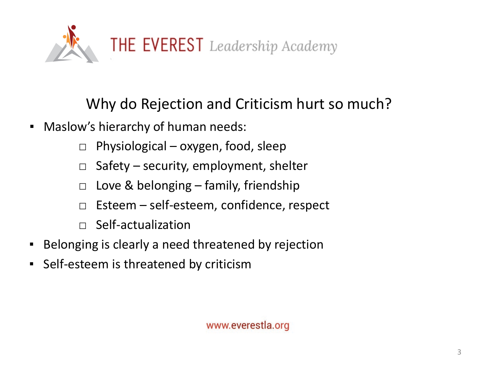

Why do Rejection and Criticism hurt so much?

- **E** Maslow's hierarchy of human needs:
	- $\Box$  Physiological oxygen, food, sleep
	- $\Box$  Safety security, employment, shelter
	- $\Box$  Love & belonging family, friendship
	- □ Esteem self-esteem, confidence, respect
	- $\Box$  Self-actualization
- Belonging is clearly a need threatened by rejection
- Self-esteem is threatened by criticism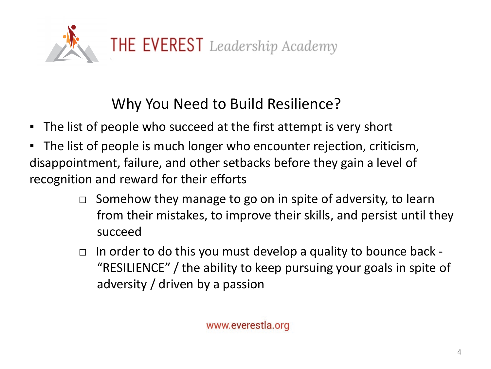

## Why You Need to Build Resilience?

- The list of people who succeed at the first attempt is very short
- The list of people is much longer who encounter rejection, criticism, disappointment, failure, and other setbacks before they gain a level of recognition and reward for their efforts
	- $\Box$  Somehow they manage to go on in spite of adversity, to learn from their mistakes, to improve their skills, and persist until they succeed
	- $\Box$  In order to do this you must develop a quality to bounce back -"RESILIENCE" / the ability to keep pursuing your goals in spite of adversity / driven by a passion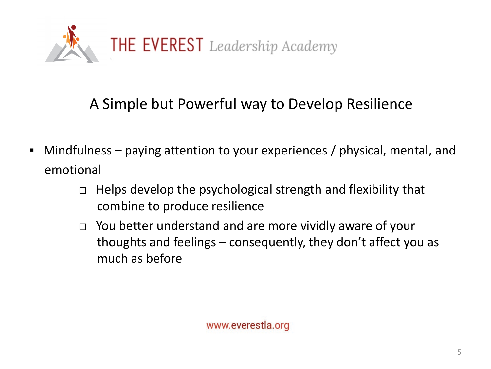

### A Simple but Powerful way to Develop Resilience

- Mindfulness paying attention to your experiences / physical, mental, and emotional
	- $\Box$  Helps develop the psychological strength and flexibility that combine to produce resilience
	- □ You better understand and are more vividly aware of your thoughts and feelings – consequently, they don't affect you as much as before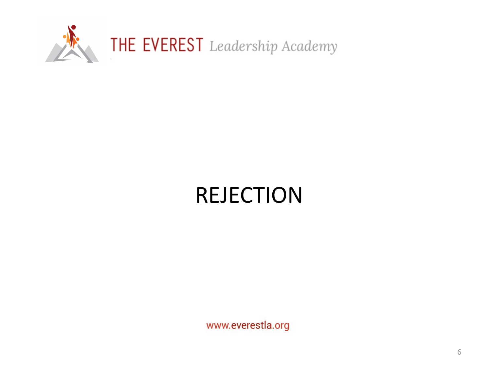

# REJECTION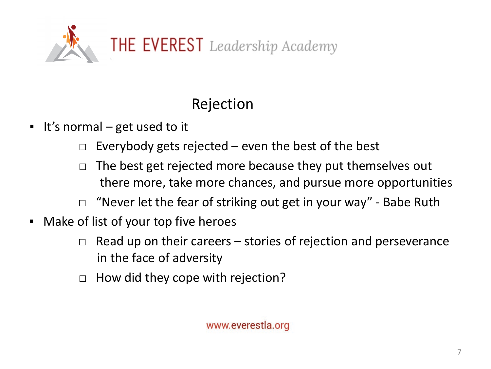

### Rejection

- $\blacksquare$  It's normal get used to it
	- $\Box$  Everybody gets rejected even the best of the best
	- $\Box$  The best get rejected more because they put themselves out there more, take more chances, and pursue more opportunities
	- $\Box$  "Never let the fear of striking out get in your way" Babe Ruth
- Make of list of your top five heroes
	- $\Box$  Read up on their careers stories of rejection and perseverance in the face of adversity
	- $\Box$  How did they cope with rejection?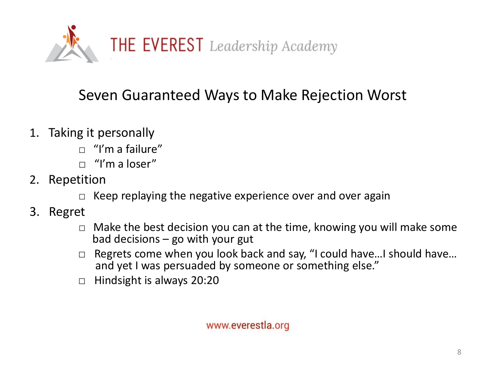

## Seven Guaranteed Ways to Make Rejection Worst

- 1. Taking it personally
	- $\Box$  "I'm a failure"
	- $\Box$  "I'm a loser"
- 2. Repetition
	- $\Box$  Keep replaying the negative experience over and over again
- 3. Regret
	- $\Box$  Make the best decision you can at the time, knowing you will make some bad decisions – go with your gut
	- $\Box$  Regrets come when you look back and say, "I could have... I should have... and yet I was persuaded by someone or something else."
	- □ Hindsight is always 20:20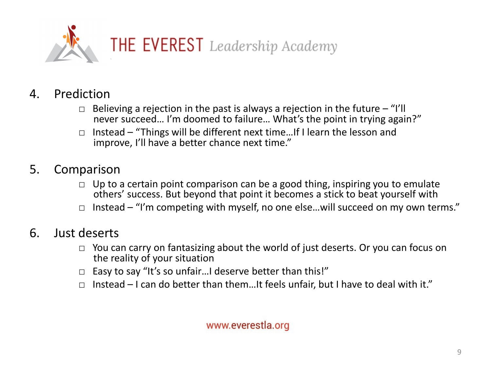

- 4. Prediction
	- $\Box$  Believing a rejection in the past is always a rejection in the future "I'll never succeed… I'm doomed to failure… What's the point in trying again?"
	- Instead "Things will be different next time...If I learn the lesson and improve, I'll have a better chance next time."

### 5. Comparison

- $\Box$  Up to a certain point comparison can be a good thing, inspiring you to emulate others' success. But beyond that point it becomes a stick to beat yourself with
- $\Box$  Instead "I'm competing with myself, no one else...will succeed on my own terms."

### 6. Just deserts

- $\Box$  You can carry on fantasizing about the world of just deserts. Or you can focus on the reality of your situation
- $\Box$  Easy to say "It's so unfair...I deserve better than this!"
- $\Box$  Instead I can do better than them...It feels unfair, but I have to deal with it."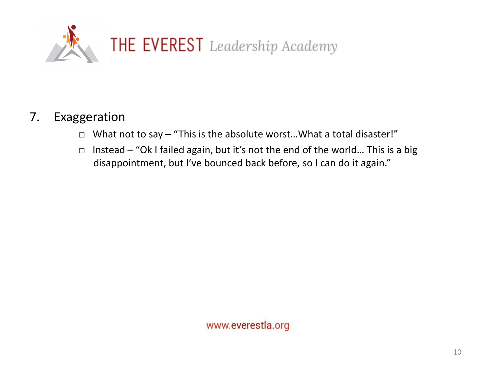

### 7. Exaggeration

- $\Box$  What not to say "This is the absolute worst... What a total disaster!"
- □ Instead "Ok I failed again, but it's not the end of the world... This is a big disappointment, but I've bounced back before, so I can do it again."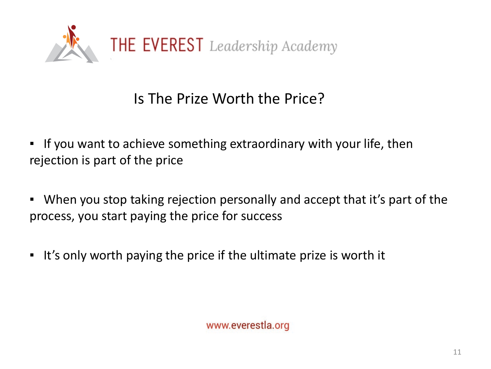

## Is The Prize Worth the Price?

**•** If you want to achieve something extraordinary with your life, then rejection is part of the price

- When you stop taking rejection personally and accept that it's part of the process, you start paying the price for success
- It's only worth paying the price if the ultimate prize is worth it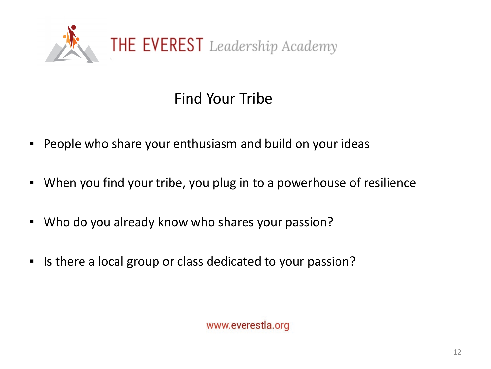

## Find Your Tribe

- People who share your enthusiasm and build on your ideas
- When you find your tribe, you plug in to a powerhouse of resilience
- Who do you already know who shares your passion?
- **EXTE:** Is there a local group or class dedicated to your passion?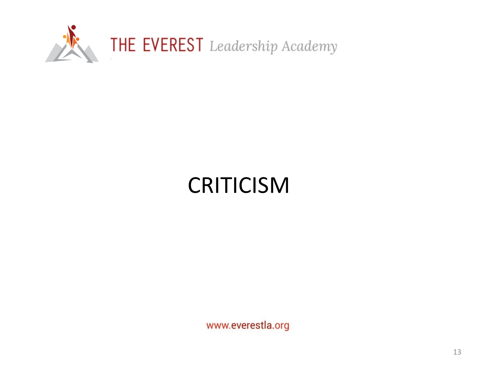

# **CRITICISM**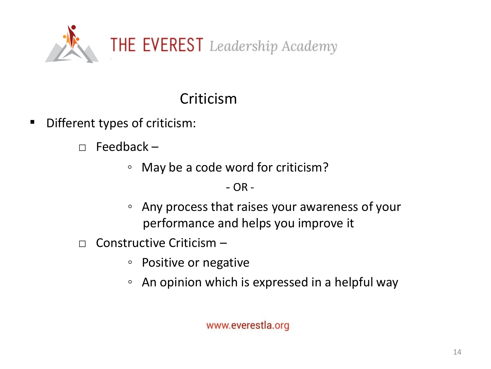

## Criticism

- Different types of criticism:
	- $\Box$  Feedback
		- May be a code word for criticism?

### - OR -

- Any process that raises your awareness of your performance and helps you improve it
- $\Box$  Constructive Criticism
	- Positive or negative
	- An opinion which is expressed in a helpful way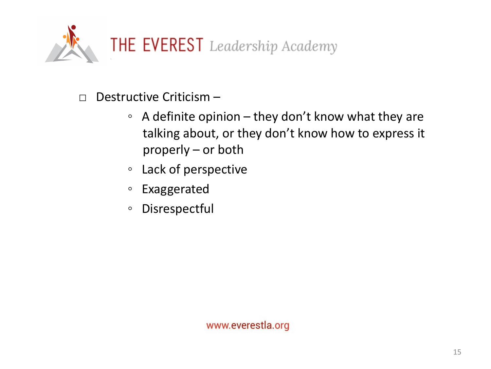

- □ Destructive Criticism
	- A definite opinion they don't know what they are talking about, or they don't know how to express it properly – or both
	- Lack of perspective
	- Exaggerated
	- Disrespectful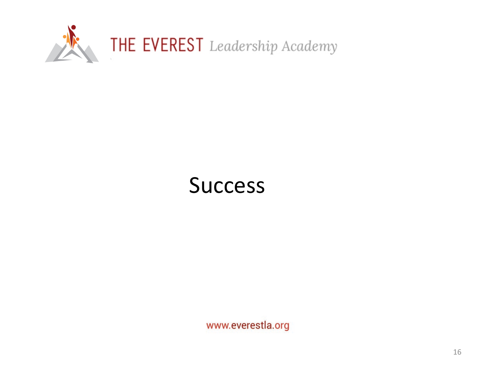

# Success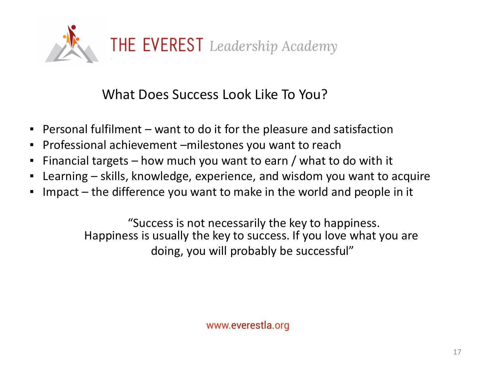

What Does Success Look Like To You?

- **•** Personal fulfilment  $-$  want to do it for the pleasure and satisfaction
- Professional achievement –milestones you want to reach
- **Financial targets how much you want to earn / what to do with it**
- Learning skills, knowledge, experience, and wisdom you want to acquire
- Impact the difference you want to make in the world and people in it

"Success is not necessarily the key to happiness. Happiness is usually the key to success. If you love what you are doing, you will probably be successful"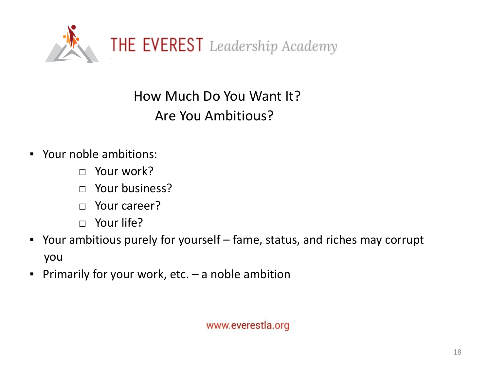

How Much Do You Want It? Are You Ambitious?

- Your noble ambitions:
	- $\Box$  Your work?
	- □ Your business?
	- $\Box$  Your career?
	- $\Box$  Your life?
- Your ambitious purely for yourself fame, status, and riches may corrupt you
- **•** Primarily for your work, etc.  $-$  a noble ambition